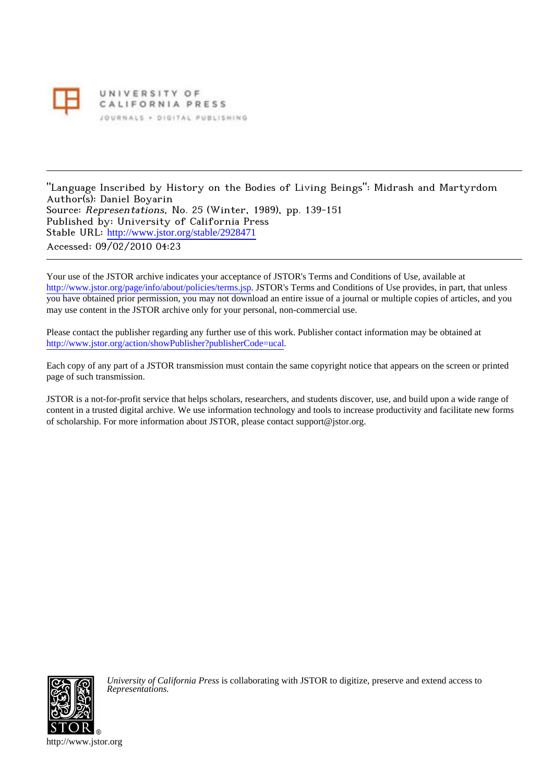

"Language Inscribed by History on the Bodies of Living Beings": Midrash and Martyrdom Author(s): Daniel Boyarin Source: Representations, No. 25 (Winter, 1989), pp. 139-151 Published by: University of California Press Stable URL: [http://www.jstor.org/stable/2928471](http://www.jstor.org/stable/2928471?origin=JSTOR-pdf) Accessed: 09/02/2010 04:23

Your use of the JSTOR archive indicates your acceptance of JSTOR's Terms and Conditions of Use, available at <http://www.jstor.org/page/info/about/policies/terms.jsp>. JSTOR's Terms and Conditions of Use provides, in part, that unless you have obtained prior permission, you may not download an entire issue of a journal or multiple copies of articles, and you may use content in the JSTOR archive only for your personal, non-commercial use.

Please contact the publisher regarding any further use of this work. Publisher contact information may be obtained at [http://www.jstor.org/action/showPublisher?publisherCode=ucal.](http://www.jstor.org/action/showPublisher?publisherCode=ucal)

Each copy of any part of a JSTOR transmission must contain the same copyright notice that appears on the screen or printed page of such transmission.

JSTOR is a not-for-profit service that helps scholars, researchers, and students discover, use, and build upon a wide range of content in a trusted digital archive. We use information technology and tools to increase productivity and facilitate new forms of scholarship. For more information about JSTOR, please contact support@jstor.org.



*University of California Press* is collaborating with JSTOR to digitize, preserve and extend access to *Representations.*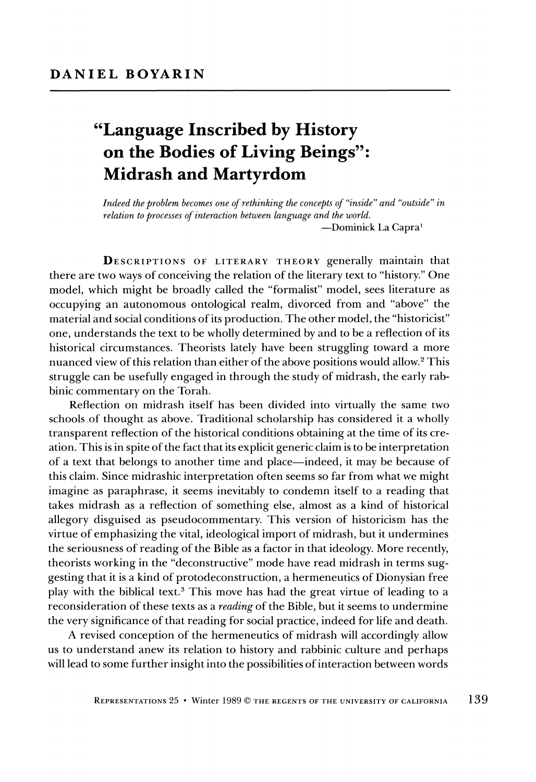## "Language Inscribed by History on the Bodies of Living Beings": **Midrash and Martyrdom**

Indeed the problem becomes one of rethinking the concepts of "inside" and "outside" in relation to processes of interaction between language and the world.

-Dominick La Capra<sup>1</sup>

DESCRIPTIONS OF LITERARY THEORY generally maintain that there are two ways of conceiving the relation of the literary text to "history." One model, which might be broadly called the "formalist" model, sees literature as occupying an autonomous ontological realm, divorced from and "above" the material and social conditions of its production. The other model, the "historicist" one, understands the text to be wholly determined by and to be a reflection of its historical circumstances. Theorists lately have been struggling toward a more nuanced view of this relation than either of the above positions would allow.<sup>2</sup> This struggle can be usefully engaged in through the study of midrash, the early rabbinic commentary on the Torah.

Reflection on midrash itself has been divided into virtually the same two schools of thought as above. Traditional scholarship has considered it a wholly transparent reflection of the historical conditions obtaining at the time of its creation. This is in spite of the fact that its explicit generic claim is to be interpretation of a text that belongs to another time and place—indeed, it may be because of this claim. Since midrashic interpretation often seems so far from what we might imagine as paraphrase, it seems inevitably to condemn itself to a reading that takes midrash as a reflection of something else, almost as a kind of historical allegory disguised as pseudocommentary. This version of historicism has the virtue of emphasizing the vital, ideological import of midrash, but it undermines the seriousness of reading of the Bible as a factor in that ideology. More recently, theorists working in the "deconstructive" mode have read midrash in terms suggesting that it is a kind of protodeconstruction, a hermeneutics of Dionysian free play with the biblical text.<sup>3</sup> This move has had the great virtue of leading to a reconsideration of these texts as a *reading* of the Bible, but it seems to undermine the very significance of that reading for social practice, indeed for life and death.

A revised conception of the hermeneutics of midrash will accordingly allow us to understand anew its relation to history and rabbinic culture and perhaps will lead to some further insight into the possibilities of interaction between words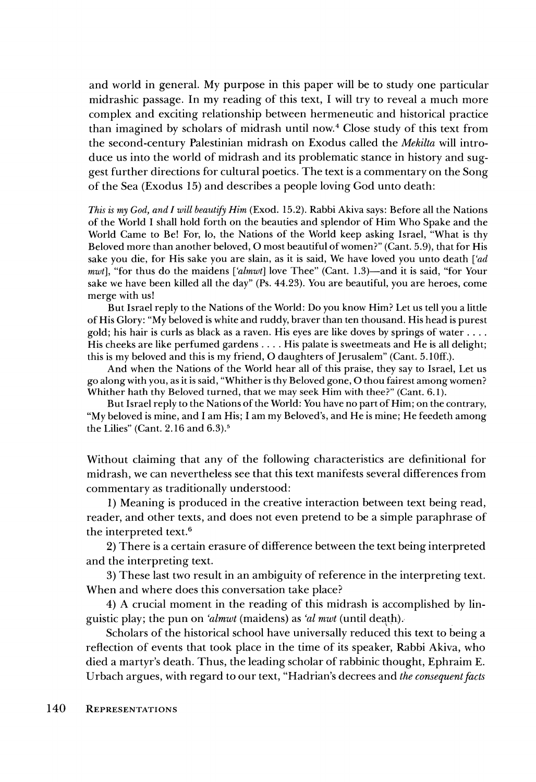and world in general. My purpose in this paper will be to study one particular midrashic passage. In my reading of this text, I will try to reveal a much more complex and exciting relationship between hermeneutic and historical practice than imagined by scholars of midrash until now.<sup>4</sup> Close study of this text from the second-century Palestinian midrash on Exodus called the Mekilta will introduce us into the world of midrash and its problematic stance in history and suggest further directions for cultural poetics. The text is a commentary on the Song of the Sea (Exodus 15) and describes a people loving God unto death:

This is my God, and I will beautify Him (Exod. 15.2). Rabbi Akiva says: Before all the Nations of the World I shall hold forth on the beauties and splendor of Him Who Spake and the World Came to Be! For, lo, the Nations of the World keep asking Israel, "What is thy Beloved more than another beloved, O most beautiful of women?" (Cant. 5.9), that for His sake you die, for His sake you are slain, as it is said, We have loved you unto death ['ad mwt], "for thus do the maidens ['almwt] love Thee" (Cant. 1.3)—and it is said, "for Your sake we have been killed all the day" (Ps. 44.23). You are beautiful, you are heroes, come merge with us!

But Israel reply to the Nations of the World: Do you know Him? Let us tell you a little of His Glory: "My beloved is white and ruddy, braver than ten thousand. His head is purest gold; his hair is curls as black as a raven. His eyes are like doves by springs of water .... His cheeks are like perfumed gardens . . . . His palate is sweetmeats and He is all delight; this is my beloved and this is my friend, O daughters of Jerusalem" (Cant. 5.10ff.).

And when the Nations of the World hear all of this praise, they say to Israel, Let us go along with you, as it is said, "Whither is thy Beloved gone, O thou fairest among women? Whither hath thy Beloved turned, that we may seek  $\widetilde{\rm{Him}}$  with thee?" (Cant. 6.1).

But Israel reply to the Nations of the World: You have no part of Him; on the contrary, "My beloved is mine, and I am His; I am my Beloved's, and He is mine; He feedeth among the Lilies" (Cant. 2.16 and 6.3).<sup>5</sup>

Without claiming that any of the following characteristics are definitional for midrash, we can nevertheless see that this text manifests several differences from commentary as traditionally understood:

1) Meaning is produced in the creative interaction between text being read, reader, and other texts, and does not even pretend to be a simple paraphrase of the interpreted text.<sup>6</sup>

2) There is a certain erasure of difference between the text being interpreted and the interpreting text.

3) These last two result in an ambiguity of reference in the interpreting text. When and where does this conversation take place?

4) A crucial moment in the reading of this midrash is accomplished by linguistic play; the pun on 'almwt (maidens) as 'al mwt (until death).

Scholars of the historical school have universally reduced this text to being a reflection of events that took place in the time of its speaker, Rabbi Akiva, who died a martyr's death. Thus, the leading scholar of rabbinic thought, Ephraim E. Urbach argues, with regard to our text, "Hadrian's decrees and the consequent facts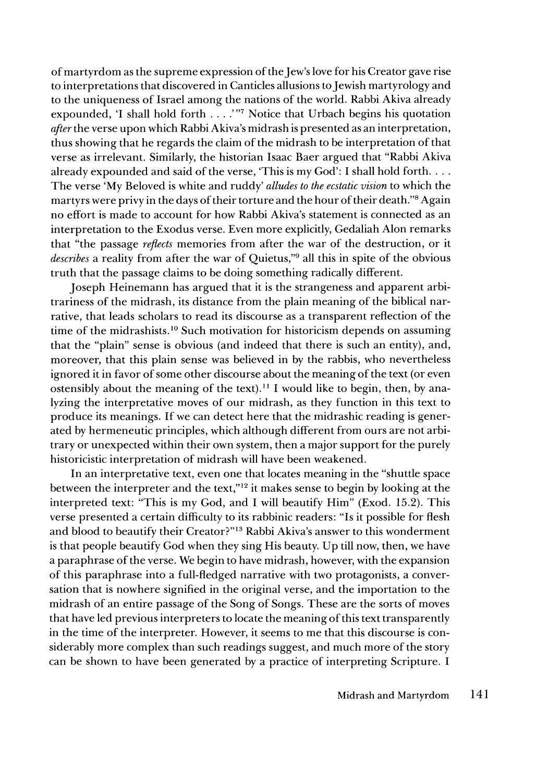of martyrdom as the supreme expression of the Jew's love for his Creator gave rise to interpretations that discovered in Canticles allusions to Jewish martyrology and to the uniqueness of Israel among the nations of the world. Rabbi Akiva already expounded, 'I shall hold forth . . . . "7 Notice that Urbach begins his quotation after the verse upon which Rabbi Akiva's midrash is presented as an interpretation, thus showing that he regards the claim of the midrash to be interpretation of that verse as irrelevant. Similarly, the historian Isaac Baer argued that "Rabbi Akiva already expounded and said of the verse, 'This is my God': I shall hold forth.... The verse 'My Beloved is white and ruddy' alludes to the ecstatic vision to which the martyrs were privy in the days of their torture and the hour of their death."<sup>8</sup> Again no effort is made to account for how Rabbi Akiva's statement is connected as an interpretation to the Exodus verse. Even more explicitly, Gedaliah Alon remarks that "the passage *reflects* memories from after the war of the destruction, or it describes a reality from after the war of Quietus,"<sup>9</sup> all this in spite of the obvious truth that the passage claims to be doing something radically different.

Joseph Heinemann has argued that it is the strangeness and apparent arbitrariness of the midrash, its distance from the plain meaning of the biblical narrative, that leads scholars to read its discourse as a transparent reflection of the time of the midrashists.<sup>10</sup> Such motivation for historicism depends on assuming that the "plain" sense is obvious (and indeed that there is such an entity), and, moreover, that this plain sense was believed in by the rabbis, who nevertheless ignored it in favor of some other discourse about the meaning of the text (or even ostensibly about the meaning of the text).<sup>11</sup> I would like to begin, then, by analyzing the interpretative moves of our midrash, as they function in this text to produce its meanings. If we can detect here that the midrashic reading is generated by hermeneutic principles, which although different from ours are not arbitrary or unexpected within their own system, then a major support for the purely historicistic interpretation of midrash will have been weakened.

In an interpretative text, even one that locates meaning in the "shuttle space between the interpreter and the text,"<sup>12</sup> it makes sense to begin by looking at the interpreted text: "This is my God, and I will beautify Him" (Exod. 15.2). This verse presented a certain difficulty to its rabbinic readers: "Is it possible for flesh and blood to beautify their Creator?"<sup>13</sup> Rabbi Akiva's answer to this wonderment is that people beautify God when they sing His beauty. Up till now, then, we have a paraphrase of the verse. We begin to have midrash, however, with the expansion of this paraphrase into a full-fledged narrative with two protagonists, a conversation that is nowhere signified in the original verse, and the importation to the midrash of an entire passage of the Song of Songs. These are the sorts of moves that have led previous interpreters to locate the meaning of this text transparently in the time of the interpreter. However, it seems to me that this discourse is considerably more complex than such readings suggest, and much more of the story can be shown to have been generated by a practice of interpreting Scripture. I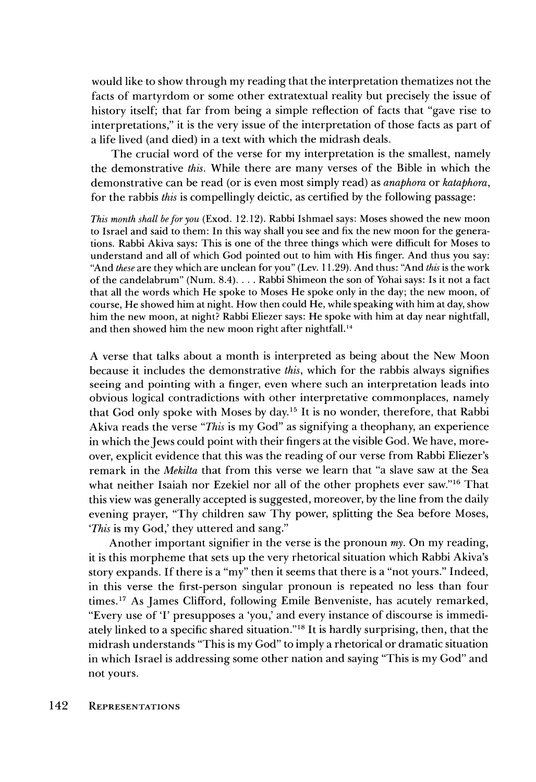would like to show through my reading that the interpretation the matizes not the facts of martyrdom or some other extratextual reality but precisely the issue of history itself; that far from being a simple reflection of facts that "gave rise to interpretations," it is the very issue of the interpretation of those facts as part of a life lived (and died) in a text with which the midrash deals.

The crucial word of the verse for my interpretation is the smallest, namely the demonstrative this. While there are many verses of the Bible in which the demonstrative can be read (or is even most simply read) as anaphora or kataphora, for the rabbis this is compellingly deictic, as certified by the following passage:

This month shall be for you (Exod. 12.12). Rabbi Ishmael says: Moses showed the new moon to Israel and said to them: In this way shall you see and fix the new moon for the generations. Rabbi Akiva says: This is one of the three things which were difficult for Moses to understand and all of which God pointed out to him with His finger. And thus you say: "And these are they which are unclean for you" (Lev. 11.29). And thus: "And this is the work of the candelabrum" (Num. 8.4).... Rabbi Shimeon the son of Yohai says: Is it not a fact that all the words which He spoke to Moses He spoke only in the day; the new moon, of course, He showed him at night. How then could He, while speaking with him at day, show him the new moon, at night? Rabbi Eliezer says: He spoke with him at day near nightfall, and then showed him the new moon right after nightfall.<sup>14</sup>

A verse that talks about a month is interpreted as being about the New Moon because it includes the demonstrative *this*, which for the rabbis always signifies seeing and pointing with a finger, even where such an interpretation leads into obvious logical contradictions with other interpretative commonplaces, namely that God only spoke with Moses by day.<sup>15</sup> It is no wonder, therefore, that Rabbi Akiva reads the verse "This is my God" as signifying a theophany, an experience in which the Jews could point with their fingers at the visible God. We have, moreover, explicit evidence that this was the reading of our verse from Rabbi Eliezer's remark in the Mekilta that from this verse we learn that "a slave saw at the Sea what neither Isaiah nor Ezekiel nor all of the other prophets ever saw."<sup>16</sup> That this view was generally accepted is suggested, moreover, by the line from the daily evening prayer, "Thy children saw Thy power, splitting the Sea before Moses, 'This is my God,' they uttered and sang."

Another important signifier in the verse is the pronoun  $my$ . On my reading, it is this morpheme that sets up the very rhetorical situation which Rabbi Akiva's story expands. If there is a "my" then it seems that there is a "not yours." Indeed, in this verse the first-person singular pronoun is repeated no less than four times.<sup>17</sup> As James Clifford, following Emile Benveniste, has acutely remarked, "Every use of 'I' presupposes a 'you,' and every instance of discourse is immediately linked to a specific shared situation."<sup>18</sup> It is hardly surprising, then, that the midrash understands "This is my God" to imply a rhetorical or dramatic situation in which Israel is addressing some other nation and saying "This is my God" and not yours.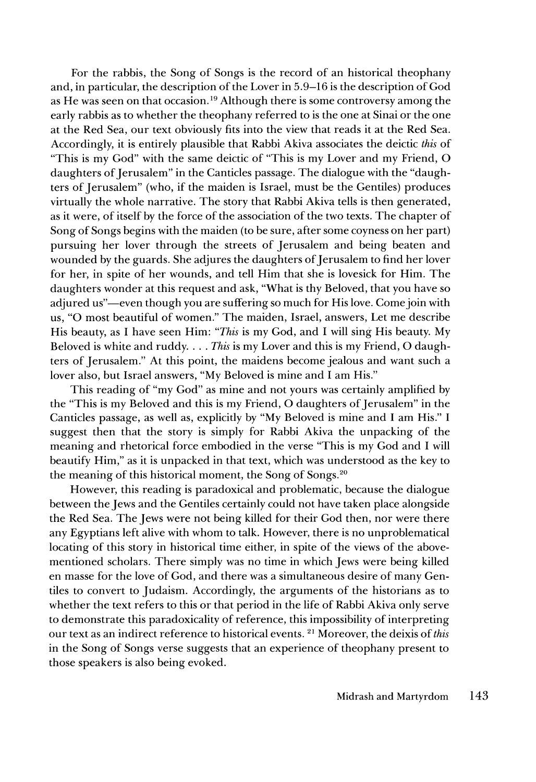For the rabbis, the Song of Songs is the record of an historical theophany and, in particular, the description of the Lover in 5.9–16 is the description of God as He was seen on that occasion.<sup>19</sup> Although there is some controversy among the early rabbis as to whether the theophany referred to is the one at Sinai or the one at the Red Sea, our text obviously fits into the view that reads it at the Red Sea. Accordingly, it is entirely plausible that Rabbi Akiva associates the deictic this of "This is my God" with the same deictic of "This is my Lover and my Friend, O daughters of Jerusalem" in the Canticles passage. The dialogue with the "daughters of Jerusalem" (who, if the maiden is Israel, must be the Gentiles) produces virtually the whole narrative. The story that Rabbi Akiva tells is then generated, as it were, of itself by the force of the association of the two texts. The chapter of Song of Songs begins with the maiden (to be sure, after some coyness on her part) pursuing her lover through the streets of Jerusalem and being beaten and wounded by the guards. She adjures the daughters of Jerusalem to find her lover for her, in spite of her wounds, and tell Him that she is lovesick for Him. The daughters wonder at this request and ask, "What is thy Beloved, that you have so adjured us"—even though you are suffering so much for His love. Come join with us, "O most beautiful of women." The maiden, Israel, answers, Let me describe His beauty, as I have seen Him: "This is my God, and I will sing His beauty. My Beloved is white and ruddy.  $\ldots$  This is my Lover and this is my Friend, O daughters of Jerusalem." At this point, the maidens become jealous and want such a lover also, but Israel answers, "My Beloved is mine and I am His."

This reading of "my God" as mine and not yours was certainly amplified by the "This is my Beloved and this is my Friend, O daughters of Jerusalem" in the Canticles passage, as well as, explicitly by "My Beloved is mine and I am His." I suggest then that the story is simply for Rabbi Akiva the unpacking of the meaning and rhetorical force embodied in the verse "This is my God and I will beautify Him," as it is unpacked in that text, which was understood as the key to the meaning of this historical moment, the Song of Songs.<sup>20</sup>

However, this reading is paradoxical and problematic, because the dialogue between the Jews and the Gentiles certainly could not have taken place alongside the Red Sea. The Jews were not being killed for their God then, nor were there any Egyptians left alive with whom to talk. However, there is no unproblematical locating of this story in historical time either, in spite of the views of the abovementioned scholars. There simply was no time in which Jews were being killed en masse for the love of God, and there was a simultaneous desire of many Gentiles to convert to Judaism. Accordingly, the arguments of the historians as to whether the text refers to this or that period in the life of Rabbi Akiva only serve to demonstrate this paradoxicality of reference, this impossibility of interpreting our text as an indirect reference to historical events.<sup>21</sup> Moreover, the deixis of this in the Song of Songs verse suggests that an experience of theophany present to those speakers is also being evoked.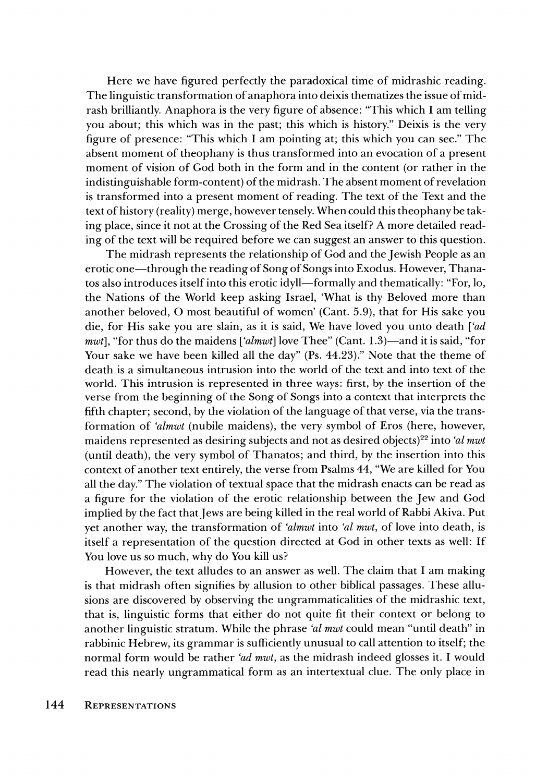Here we have figured perfectly the paradoxical time of midrashic reading. The linguistic transformation of anaphora into deixis thematizes the issue of midrash brilliantly. Anaphora is the very figure of absence: "This which I am telling you about; this which was in the past; this which is history." Deixis is the very figure of presence: "This which I am pointing at; this which you can see." The absent moment of theophany is thus transformed into an evocation of a present moment of vision of God both in the form and in the content (or rather in the indistinguishable form-content) of the midrash. The absent moment of revelation is transformed into a present moment of reading. The text of the Text and the text of history (reality) merge, however tensely. When could this theophany be taking place, since it not at the Crossing of the Red Sea itself? A more detailed reading of the text will be required before we can suggest an answer to this question.

The midrash represents the relationship of God and the Jewish People as an erotic one—through the reading of Song of Songs into Exodus. However, Thanatos also introduces itself into this erotic idyll—formally and thematically: "For, lo, the Nations of the World keep asking Israel, 'What is thy Beloved more than another beloved, O most beautiful of women' (Cant. 5.9), that for His sake you die, for His sake you are slain, as it is said, We have loved you unto death ['ad *mwt*], "for thus do the maidens ['almwt] love Thee" (Cant. 1.3)—and it is said, "for Your sake we have been killed all the day" (Ps. 44.23)." Note that the theme of death is a simultaneous intrusion into the world of the text and into text of the world. This intrusion is represented in three ways: first, by the insertion of the verse from the beginning of the Song of Songs into a context that interprets the fifth chapter; second, by the violation of the language of that verse, via the transformation of 'almwt (nubile maidens), the very symbol of Eros (here, however, maidens represented as desiring subjects and not as desired objects)<sup>22</sup> into 'al mwt (until death), the very symbol of Thanatos; and third, by the insertion into this context of another text entirely, the verse from Psalms 44, "We are killed for You all the day." The violation of textual space that the midrash enacts can be read as a figure for the violation of the erotic relationship between the Jew and God implied by the fact that Jews are being killed in the real world of Rabbi Akiva. Put yet another way, the transformation of 'almwt into 'al mwt, of love into death, is itself a representation of the question directed at God in other texts as well: If You love us so much, why do You kill us?

However, the text alludes to an answer as well. The claim that I am making is that midrash often signifies by allusion to other biblical passages. These allusions are discovered by observing the ungrammaticalities of the midrashic text, that is, linguistic forms that either do not quite fit their context or belong to another linguistic stratum. While the phrase 'al mwt could mean "until death" in rabbinic Hebrew, its grammar is sufficiently unusual to call attention to itself; the normal form would be rather 'ad mwt, as the midrash indeed glosses it. I would read this nearly ungrammatical form as an intertextual clue. The only place in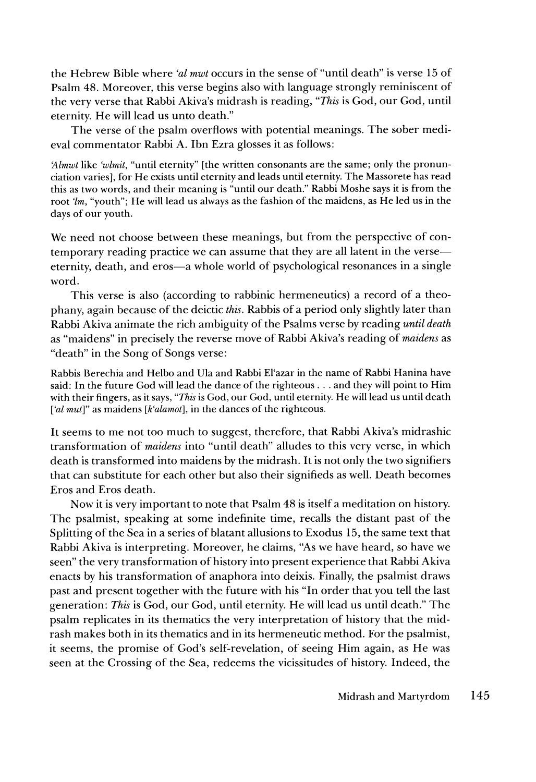the Hebrew Bible where 'al mut occurs in the sense of "until death" is verse 15 of Psalm 48. Moreover, this verse begins also with language strongly reminiscent of the very verse that Rabbi Akiva's midrash is reading, "This is God, our God, until eternity. He will lead us unto death."

The verse of the psalm overflows with potential meanings. The sober medieval commentator Rabbi A. Ibn Ezra glosses it as follows:

'Almwt like 'wlmit, "until eternity" [the written consonants are the same; only the pronunciation varies], for He exists until eternity and leads until eternity. The Massorete has read this as two words, and their meaning is "until our death." Rabbi Moshe says it is from the root ' $lm$ , "youth"; He will lead us always as the fashion of the maidens, as He led us in the days of our youth.

We need not choose between these meanings, but from the perspective of contemporary reading practice we can assume that they are all latent in the verse eternity, death, and eros-a whole world of psychological resonances in a single word.

This verse is also (according to rabbinic hermeneutics) a record of a theophany, again because of the deictic this. Rabbis of a period only slightly later than Rabbi Akiva animate the rich ambiguity of the Psalms verse by reading until death as "maidens" in precisely the reverse move of Rabbi Akiva's reading of *maidens* as "death" in the Song of Songs verse:

Rabbis Berechia and Helbo and Ula and Rabbi El'azar in the name of Rabbi Hanina have said: In the future God will lead the dance of the righteous . . . and they will point to Him with their fingers, as it says, "This is God, our God, until eternity. He will lead us until death ['al mut]" as maidens [k'alamot], in the dances of the righteous.

It seems to me not too much to suggest, therefore, that Rabbi Akiva's midrashic transformation of maidens into "until death" alludes to this very verse, in which death is transformed into maidens by the midrash. It is not only the two signifiers that can substitute for each other but also their signifieds as well. Death becomes Eros and Eros death.

Now it is very important to note that Psalm 48 is itself a meditation on history. The psalmist, speaking at some indefinite time, recalls the distant past of the Splitting of the Sea in a series of blatant allusions to Exodus 15, the same text that Rabbi Akiva is interpreting. Moreover, he claims, "As we have heard, so have we seen" the very transformation of history into present experience that Rabbi Akiva enacts by his transformation of anaphora into deixis. Finally, the psalmist draws past and present together with the future with his "In order that you tell the last generation: This is God, our God, until eternity. He will lead us until death." The psalm replicates in its thematics the very interpretation of history that the midrash makes both in its thematics and in its hermeneutic method. For the psalmist, it seems, the promise of God's self-revelation, of seeing Him again, as He was seen at the Crossing of the Sea, redeems the vicissitudes of history. Indeed, the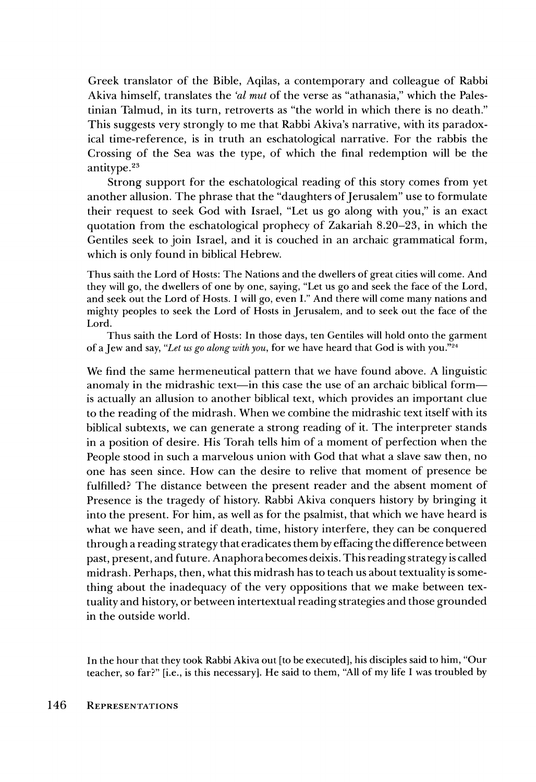Greek translator of the Bible, Aqilas, a contemporary and colleague of Rabbi Akiva himself, translates the 'al mut of the verse as "athanasia." which the Palestinian Talmud, in its turn, retroverts as "the world in which there is no death." This suggests very strongly to me that Rabbi Akiva's narrative, with its paradoxical time-reference, is in truth an eschatological narrative. For the rabbis the Crossing of the Sea was the type, of which the final redemption will be the antitype.<sup>23</sup>

Strong support for the eschatological reading of this story comes from yet another allusion. The phrase that the "daughters of Jerusalem" use to formulate their request to seek God with Israel, "Let us go along with you," is an exact quotation from the eschatological prophecy of Zakariah 8.20–23, in which the Gentiles seek to join Israel, and it is couched in an archaic grammatical form, which is only found in biblical Hebrew.

Thus saith the Lord of Hosts: The Nations and the dwellers of great cities will come. And they will go, the dwellers of one by one, saying, "Let us go and seek the face of the Lord, and seek out the Lord of Hosts. I will go, even I." And there will come many nations and mighty peoples to seek the Lord of Hosts in Jerusalem, and to seek out the face of the Lord.

Thus saith the Lord of Hosts: In those days, ten Gentiles will hold onto the garment of a Jew and say, "Let us go along with you, for we have heard that God is with you."<sup>24</sup>

We find the same hermeneutical pattern that we have found above. A linguistic anomaly in the midrashic text—in this case the use of an archaic biblical form is actually an allusion to another biblical text, which provides an important clue to the reading of the midrash. When we combine the midrashic text itself with its biblical subtexts, we can generate a strong reading of it. The interpreter stands in a position of desire. His Torah tells him of a moment of perfection when the People stood in such a marvelous union with God that what a slave saw then, no one has seen since. How can the desire to relive that moment of presence be fulfilled? The distance between the present reader and the absent moment of Presence is the tragedy of history. Rabbi Akiva conquers history by bringing it into the present. For him, as well as for the psalmist, that which we have heard is what we have seen, and if death, time, history interfere, they can be conquered through a reading strategy that eradicates them by effacing the difference between past, present, and future. Anaphora becomes deixis. This reading strategy is called midrash. Perhaps, then, what this midrash has to teach us about textuality is something about the inadequacy of the very oppositions that we make between textuality and history, or between intertextual reading strategies and those grounded in the outside world.

In the hour that they took Rabbi Akiva out [to be executed], his disciples said to him, "Our teacher, so far?" [i.e., is this necessary]. He said to them, "All of my life I was troubled by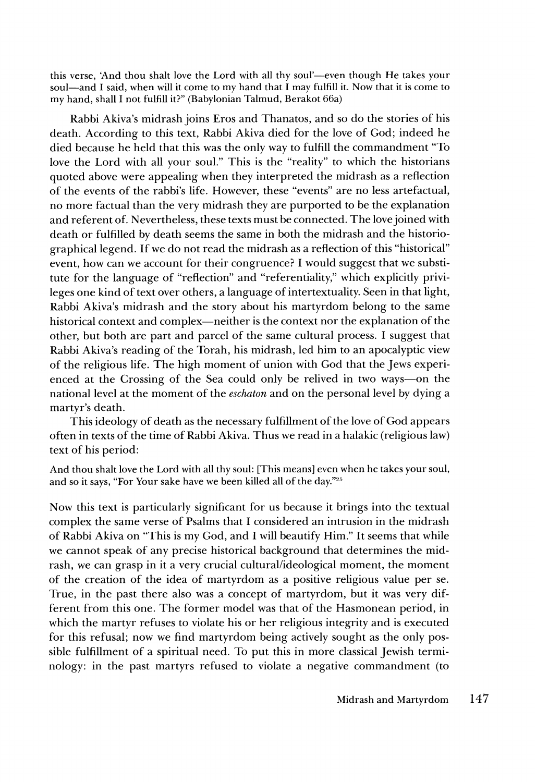this verse, 'And thou shalt love the Lord with all thy soul'—even though He takes your soul—and I said, when will it come to my hand that I may fulfill it. Now that it is come to my hand, shall I not fulfill it?" (Babylonian Talmud, Berakot 66a)

Rabbi Akiva's midrash joins Eros and Thanatos, and so do the stories of his death. According to this text, Rabbi Akiva died for the love of God; indeed he died because he held that this was the only way to fulfill the commandment "To love the Lord with all your soul." This is the "reality" to which the historians quoted above were appealing when they interpreted the midrash as a reflection of the events of the rabbi's life. However, these "events" are no less artefactual, no more factual than the very midrash they are purported to be the explanation and referent of. Nevertheless, these texts must be connected. The love joined with death or fulfilled by death seems the same in both the midrash and the historiographical legend. If we do not read the midrash as a reflection of this "historical" event, how can we account for their congruence? I would suggest that we substitute for the language of "reflection" and "referentiality," which explicitly privileges one kind of text over others, a language of intertextuality. Seen in that light, Rabbi Akiva's midrash and the story about his martyrdom belong to the same historical context and complex—neither is the context nor the explanation of the other, but both are part and parcel of the same cultural process. I suggest that Rabbi Akiva's reading of the Torah, his midrash, led him to an apocalyptic view of the religious life. The high moment of union with God that the Jews experienced at the Crossing of the Sea could only be relived in two ways-on the national level at the moment of the *eschaton* and on the personal level by dying a martyr's death.

This ideology of death as the necessary fulfillment of the love of God appears often in texts of the time of Rabbi Akiva. Thus we read in a halakic (religious law) text of his period:

And thou shalt love the Lord with all thy soul: [This means] even when he takes your soul, and so it says, "For Your sake have we been killed all of the day."25

Now this text is particularly significant for us because it brings into the textual complex the same verse of Psalms that I considered an intrusion in the midrash of Rabbi Akiva on "This is my God, and I will beautify Him." It seems that while we cannot speak of any precise historical background that determines the midrash, we can grasp in it a very crucial cultural/ideological moment, the moment of the creation of the idea of martyrdom as a positive religious value per se. True, in the past there also was a concept of martyrdom, but it was very different from this one. The former model was that of the Hasmonean period, in which the martyr refuses to violate his or her religious integrity and is executed for this refusal; now we find martyrdom being actively sought as the only possible fulfillment of a spiritual need. To put this in more classical Jewish terminology: in the past martyrs refused to violate a negative commandment (to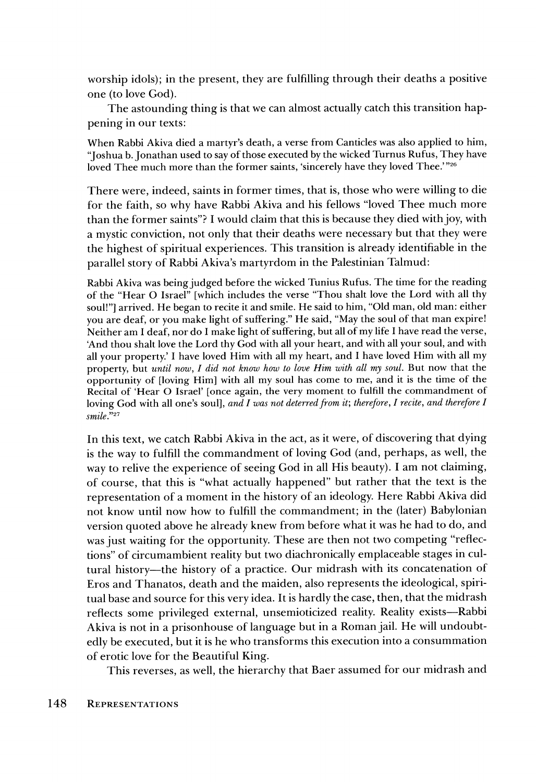worship idols); in the present, they are fulfilling through their deaths a positive one (to love God).

The astounding thing is that we can almost actually catch this transition happening in our texts:

When Rabbi Akiva died a martyr's death, a verse from Canticles was also applied to him, "Joshua b. Jonathan used to say of those executed by the wicked Turnus Rufus, They have loved Thee much more than the former saints, 'sincerely have they loved Thee.'"26

There were, indeed, saints in former times, that is, those who were willing to die for the faith, so why have Rabbi Akiva and his fellows "loved Thee much more than the former saints"? I would claim that this is because they died with joy, with a mystic conviction, not only that their deaths were necessary but that they were the highest of spiritual experiences. This transition is already identifiable in the parallel story of Rabbi Akiva's martyrdom in the Palestinian Talmud:

Rabbi Akiva was being judged before the wicked Tunius Rufus. The time for the reading of the "Hear O Israel" [which includes the verse "Thou shalt love the Lord with all thy soul!"] arrived. He began to recite it and smile. He said to him, "Old man, old man: either you are deaf, or you make light of suffering." He said, "May the soul of that man expire! Neither am I deaf, nor do I make light of suffering, but all of my life I have read the verse, 'And thou shalt love the Lord thy God with all your heart, and with all your soul, and with all your property.' I have loved Him with all my heart, and I have loved Him with all my property, but until now, I did not know how to love Him with all my soul. But now that the opportunity of [loving Him] with all my soul has come to me, and it is the time of the Recital of 'Hear O Israel' [once again, the very moment to fulfill the commandment of loving God with all one's soul], and I was not deterred from it; therefore, I recite, and therefore I  $smile.^{"27"}$ 

In this text, we catch Rabbi Akiva in the act, as it were, of discovering that dying is the way to fulfill the commandment of loving God (and, perhaps, as well, the way to relive the experience of seeing God in all His beauty). I am not claiming, of course, that this is "what actually happened" but rather that the text is the representation of a moment in the history of an ideology. Here Rabbi Akiva did not know until now how to fulfill the commandment; in the (later) Babylonian version quoted above he already knew from before what it was he had to do, and was just waiting for the opportunity. These are then not two competing "reflections" of circumambient reality but two diachronically emplaceable stages in cultural history-the history of a practice. Our midrash with its concatenation of Eros and Thanatos, death and the maiden, also represents the ideological, spiritual base and source for this very idea. It is hardly the case, then, that the midrash reflects some privileged external, unsemioticized reality. Reality exists-Rabbi Akiva is not in a prisonhouse of language but in a Roman jail. He will undoubtedly be executed, but it is he who transforms this execution into a consummation of erotic love for the Beautiful King.

This reverses, as well, the hierarchy that Baer assumed for our midrash and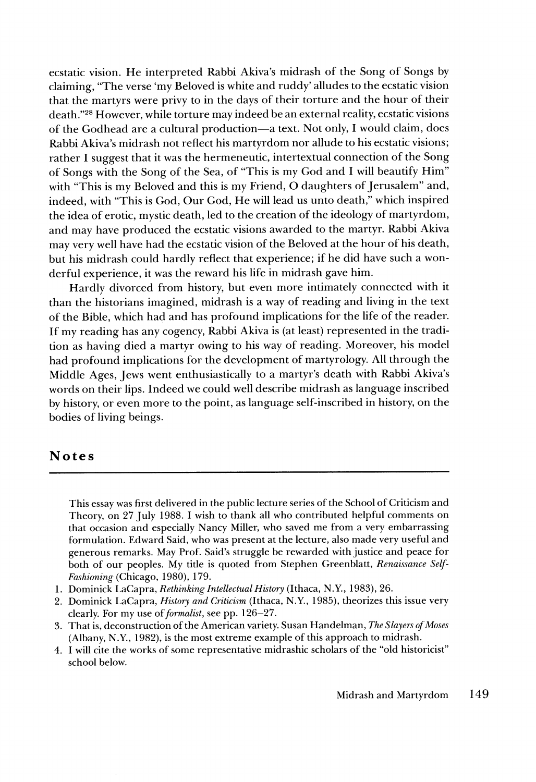ecstatic vision. He interpreted Rabbi Akiva's midrash of the Song of Songs by claiming, "The verse 'my Beloved is white and ruddy' alludes to the ecstatic vision that the martyrs were privy to in the days of their torture and the hour of their death."<sup>28</sup> However, while torture may indeed be an external reality, ecstatic visions of the Godhead are a cultural production-a text. Not only, I would claim, does Rabbi Akiva's midrash not reflect his martyrdom nor allude to his ecstatic visions; rather I suggest that it was the hermeneutic, intertextual connection of the Song of Songs with the Song of the Sea, of "This is my God and I will beautify Him" with "This is my Beloved and this is my Friend, O daughters of Jerusalem" and, indeed, with "This is God, Our God, He will lead us unto death," which inspired the idea of erotic, mystic death, led to the creation of the ideology of martyrdom, and may have produced the ecstatic visions awarded to the martyr. Rabbi Akiva may very well have had the ecstatic vision of the Beloved at the hour of his death, but his midrash could hardly reflect that experience; if he did have such a wonderful experience, it was the reward his life in midrash gave him.

Hardly divorced from history, but even more intimately connected with it than the historians imagined, midrash is a way of reading and living in the text of the Bible, which had and has profound implications for the life of the reader. If my reading has any cogency, Rabbi Akiva is (at least) represented in the tradition as having died a martyr owing to his way of reading. Moreover, his model had profound implications for the development of martyrology. All through the Middle Ages, Jews went enthusiastically to a martyr's death with Rabbi Akiva's words on their lips. Indeed we could well describe midrash as language inscribed by history, or even more to the point, as language self-inscribed in history, on the bodies of living beings.

## **Notes**

This essay was first delivered in the public lecture series of the School of Criticism and Theory, on 27 July 1988. I wish to thank all who contributed helpful comments on that occasion and especially Nancy Miller, who saved me from a very embarrassing formulation. Edward Said, who was present at the lecture, also made very useful and generous remarks. May Prof. Said's struggle be rewarded with justice and peace for both of our peoples. My title is quoted from Stephen Greenblatt, Renaissance Self-Fashioning (Chicago, 1980), 179.

<sup>1.</sup> Dominick LaCapra, Rethinking Intellectual History (Ithaca, N.Y., 1983), 26.

<sup>2.</sup> Dominick LaCapra, History and Criticism (Ithaca, N.Y., 1985), theorizes this issue very clearly. For my use of *formalist*, see pp. 126–27.

<sup>3.</sup> That is, deconstruction of the American variety. Susan Handelman, The Slayers of Moses (Albany, N.Y., 1982), is the most extreme example of this approach to midrash.

<sup>4.</sup> I will cite the works of some representative midrashic scholars of the "old historicist" school below.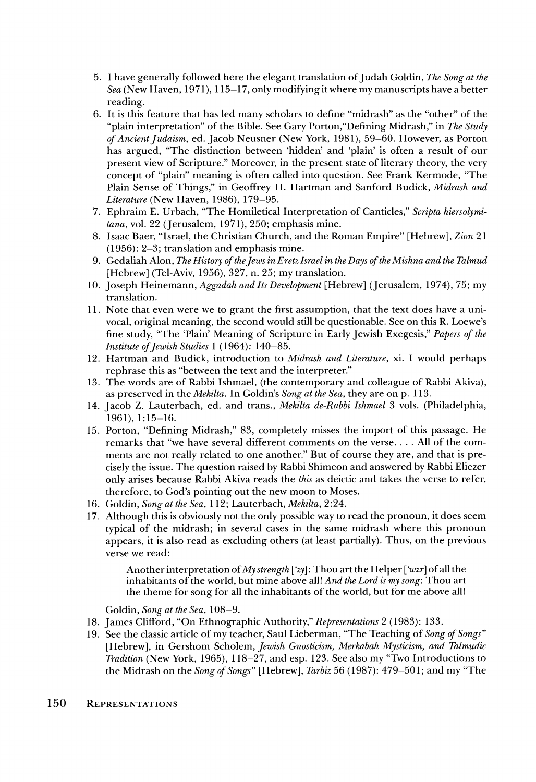- 5. I have generally followed here the elegant translation of Judah Goldin, *The Song at the* Sea (New Haven, 1971), 115–17, only modifying it where my manuscripts have a better reading.
- 6. It is this feature that has led many scholars to define "midrash" as the "other" of the "plain interpretation" of the Bible. See Gary Porton, "Defining Midrash," in The Study of Ancient Judaism, ed. Jacob Neusner (New York, 1981), 59-60. However, as Porton has argued, "The distinction between 'hidden' and 'plain' is often a result of our present view of Scripture." Moreover, in the present state of literary theory, the very concept of "plain" meaning is often called into question. See Frank Kermode, "The Plain Sense of Things," in Geoffrey H. Hartman and Sanford Budick, Midrash and Literature (New Haven, 1986), 179-95.
- 7. Ephraim E. Urbach, "The Homiletical Interpretation of Canticles," Scripta hiersolymitana, vol. 22 (Jerusalem, 1971), 250; emphasis mine.
- 8. Isaac Baer, "Israel, the Christian Church, and the Roman Empire" [Hebrew], Zion 21  $(1956): 2-3$ ; translation and emphasis mine.
- 9. Gedaliah Alon, The History of the Jews in Eretz Israel in the Days of the Mishna and the Talmud [Hebrew] (Tel-Aviv, 1956), 327, n. 25; my translation.
- 10. Joseph Heinemann, Aggadah and Its Development [Hebrew] (Jerusalem, 1974), 75; my translation.
- 11. Note that even were we to grant the first assumption, that the text does have a univocal, original meaning, the second would still be questionable. See on this R. Loewe's fine study, "The 'Plain' Meaning of Scripture in Early Jewish Exegesis," Papers of the Institute of Jewish Studies 1 (1964): 140-85.
- 12. Hartman and Budick, introduction to Midrash and Literature, xi. I would perhaps rephrase this as "between the text and the interpreter."
- 13. The words are of Rabbi Ishmael, (the contemporary and colleague of Rabbi Akiva), as preserved in the Mekilta. In Goldin's Song at the Sea, they are on p. 113.
- 14. Jacob Z. Lauterbach, ed. and trans., Mekilta de-Rabbi Ishmael 3 vols. (Philadelphia,  $1961$ ,  $1:15-16$ .
- 15. Porton, "Defining Midrash," 83, completely misses the import of this passage. He remarks that "we have several different comments on the verse.... All of the comments are not really related to one another." But of course they are, and that is precisely the issue. The question raised by Rabbi Shimeon and answered by Rabbi Eliezer only arises because Rabbi Akiva reads the this as deictic and takes the verse to refer, therefore, to God's pointing out the new moon to Moses.
- 16. Goldin, Song at the Sea, 112; Lauterbach, Mekilta, 2:24.
- 17. Although this is obviously not the only possible way to read the pronoun, it does seem typical of the midrash; in several cases in the same midrash where this pronoun appears, it is also read as excluding others (at least partially). Thus, on the previous verse we read:

Another interpretation of My strength  $\lceil z_y \rceil$ : Thou art the Helper  $\lceil w_z x \rceil$  of all the inhabitants of the world, but mine above all! And the Lord is my song: Thou art the theme for song for all the inhabitants of the world, but for me above all!

Goldin, Song at the Sea, 108-9.

- 18. James Clifford, "On Ethnographic Authority," Representations 2 (1983): 133.
- 19. See the classic article of my teacher, Saul Lieberman, "The Teaching of Song of Songs" [Hebrew], in Gershom Scholem, Jewish Gnosticism, Merkabah Mysticism, and Talmudic Tradition (New York, 1965), 118–27, and esp. 123. See also my "Two Introductions to the Midrash on the Song of Songs" [Hebrew], Tarbiz 56 (1987): 479–501; and my "The